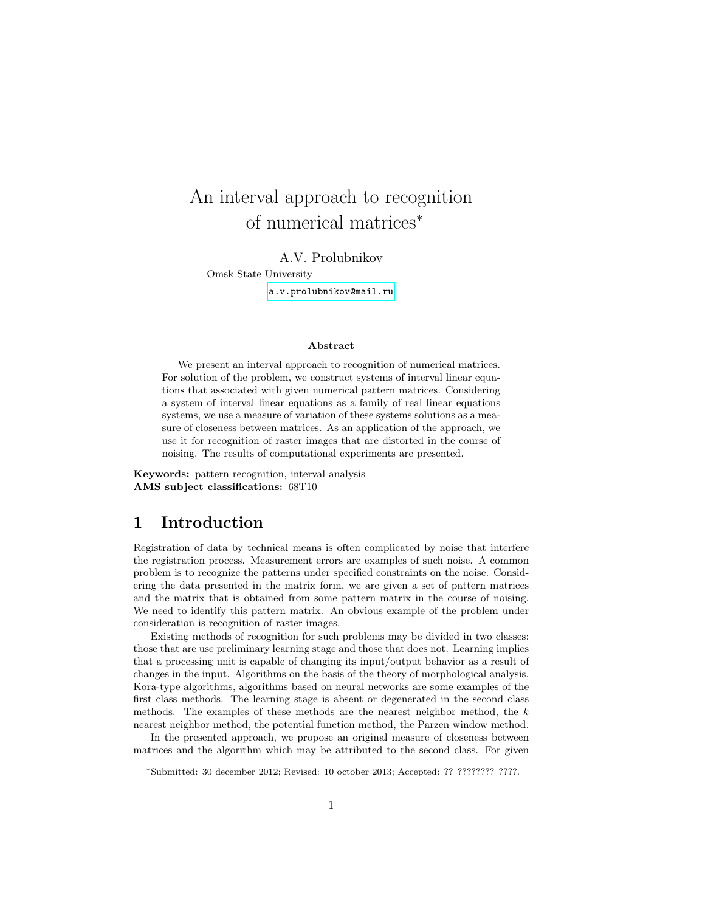# An interval approach to recognition of numerical matrices<sup>∗</sup>

### A.V. Prolubnikov

Omsk State University

<a.v.prolubnikov@mail.ru>

### Abstract

We present an interval approach to recognition of numerical matrices. For solution of the problem, we construct systems of interval linear equations that associated with given numerical pattern matrices. Considering a system of interval linear equations as a family of real linear equations systems, we use a measure of variation of these systems solutions as a measure of closeness between matrices. As an application of the approach, we use it for recognition of raster images that are distorted in the course of noising. The results of computational experiments are presented.

Keywords: pattern recognition, interval analysis AMS subject classifications: 68T10

## 1 Introduction

Registration of data by technical means is often complicated by noise that interfere the registration process. Measurement errors are examples of such noise. A common problem is to recognize the patterns under specified constraints on the noise. Considering the data presented in the matrix form, we are given a set of pattern matrices and the matrix that is obtained from some pattern matrix in the course of noising. We need to identify this pattern matrix. An obvious example of the problem under consideration is recognition of raster images.

Existing methods of recognition for such problems may be divided in two classes: those that are use preliminary learning stage and those that does not. Learning implies that a processing unit is capable of changing its input/output behavior as a result of changes in the input. Algorithms on the basis of the theory of morphological analysis, Kora-type algorithms, algorithms based on neural networks are some examples of the first class methods. The learning stage is absent or degenerated in the second class methods. The examples of these methods are the nearest neighbor method, the  $k$ nearest neighbor method, the potential function method, the Parzen window method.

In the presented approach, we propose an original measure of closeness between matrices and the algorithm which may be attributed to the second class. For given

<sup>∗</sup>Submitted: 30 december 2012; Revised: 10 october 2013; Accepted: ?? ???????? ????.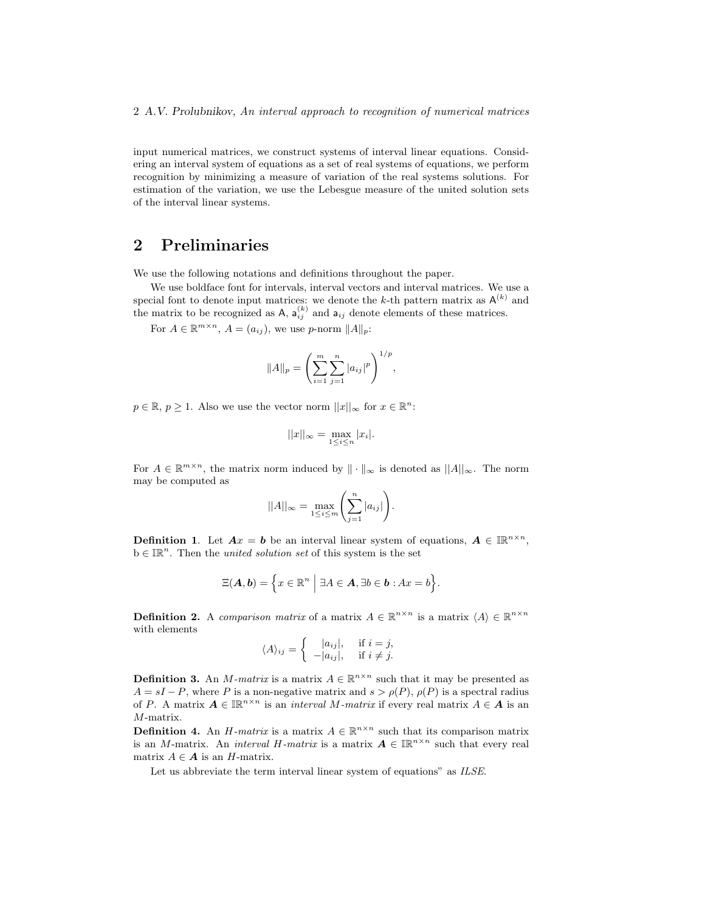input numerical matrices, we construct systems of interval linear equations. Considering an interval system of equations as a set of real systems of equations, we perform recognition by minimizing a measure of variation of the real systems solutions. For estimation of the variation, we use the Lebesgue measure of the united solution sets of the interval linear systems.

# 2 Preliminaries

We use the following notations and definitions throughout the paper.

We use boldface font for intervals, interval vectors and interval matrices. We use a special font to denote input matrices: we denote the k-th pattern matrix as  $A^{(k)}$  and the matrix to be recognized as A,  $a_{ij}^{(k)}$  and  $a_{ij}$  denote elements of these matrices.

For  $A \in \mathbb{R}^{m \times n}$ ,  $A = (a_{ij})$ , we use p-norm  $||A||_p$ :

$$
||A||_p = \left(\sum_{i=1}^m \sum_{j=1}^n |a_{ij}|^p\right)^{1/p},
$$

 $p \in \mathbb{R}, p \geq 1$ . Also we use the vector norm  $||x||_{\infty}$  for  $x \in \mathbb{R}^{n}$ :

$$
||x||_{\infty} = \max_{1 \leq i \leq n} |x_i|.
$$

For  $A \in \mathbb{R}^{m \times n}$ , the matrix norm induced by  $\|\cdot\|_{\infty}$  is denoted as  $\|A\|_{\infty}$ . The norm may be computed as

$$
||A||_{\infty} = \max_{1 \leq i \leq m} \left( \sum_{j=1}^{n} |a_{ij}| \right).
$$

**Definition 1.** Let  $Ax = b$  be an interval linear system of equations,  $A \in \mathbb{R}^{n \times n}$ ,  $b \in \mathbb{R}^n$ . Then the *united solution set* of this system is the set

$$
\Xi(\mathbf{A},\mathbf{b})=\Big\{x\in\mathbb{R}^n\ \Big|\ \exists A\in\mathbf{A},\exists b\in\mathbf{b}:Ax=b\Big\}.
$$

**Definition 2.** A comparison matrix of a matrix  $A \in \mathbb{R}^{n \times n}$  is a matrix  $\langle A \rangle \in \mathbb{R}^{n \times n}$ with elements

$$
\langle A \rangle_{ij} = \begin{cases} |a_{ij}|, & \text{if } i = j, \\ -|a_{ij}|, & \text{if } i \neq j. \end{cases}
$$

**Definition 3.** An *M*-matrix is a matrix  $A \in \mathbb{R}^{n \times n}$  such that it may be presented as  $A = sI - P$ , where P is a non-negative matrix and  $s > \rho(P)$ ,  $\rho(P)$  is a spectral radius of P. A matrix  $A \in \mathbb{IR}^{n \times n}$  is an *interval M-matrix* if every real matrix  $A \in \mathcal{A}$  is an M-matrix.

**Definition 4.** An *H*-matrix is a matrix  $A \in \mathbb{R}^{n \times n}$  such that its comparison matrix is an M-matrix. An *interval H-matrix* is a matrix  $A \in \mathbb{IR}^{n \times n}$  such that every real matrix  $A \in \mathbf{A}$  is an H-matrix.

Let us abbreviate the term interval linear system of equations" as ILSE.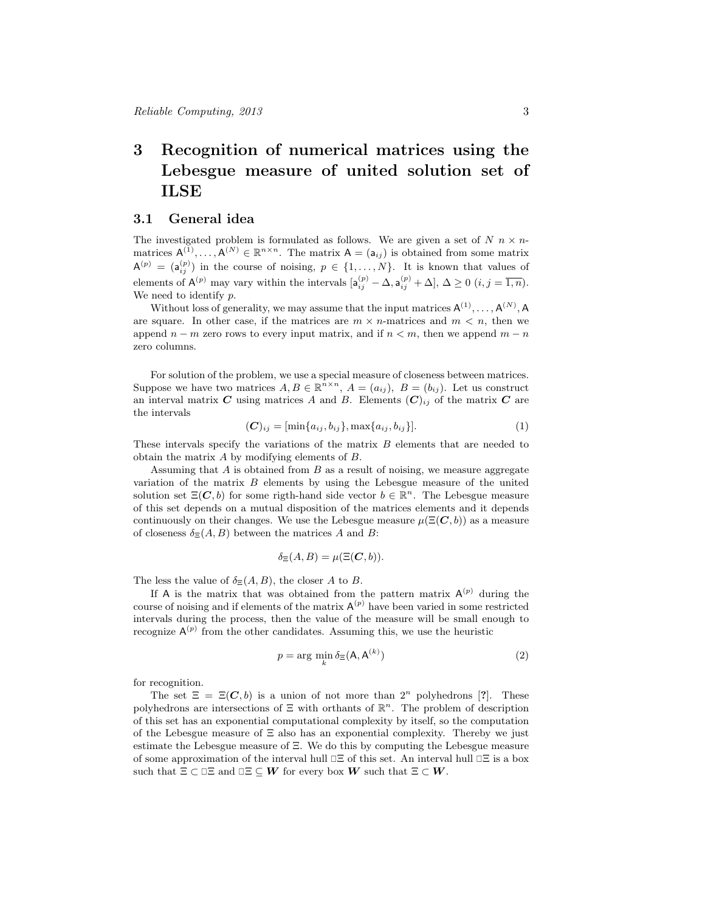# 3 Recognition of numerical matrices using the Lebesgue measure of united solution set of ILSE

## 3.1 General idea

The investigated problem is formulated as follows. We are given a set of  $N$   $n \times n$ matrices  $A^{(1)}, \ldots, A^{(N)} \in \mathbb{R}^{n \times n}$ . The matrix  $A = (a_{ij})$  is obtained from some matrix  $A^{(p)} = (a_{ij}^{(p)})$  in the course of noising,  $p \in \{1, ..., N\}$ . It is known that values of elements of  $\mathsf{A}^{(p)}$  may vary within the intervals  $[\mathsf{a}_{ij}^{(p)} - \Delta, \mathsf{a}_{ij}^{(p)} + \Delta], \Delta \geq 0$   $(i, j = \overline{1, n}).$ We need to identify p.

Without loss of generality, we may assume that the input matrices  $A^{(1)}, \ldots, A^{(N)}$ , A are square. In other case, if the matrices are  $m \times n$ -matrices and  $m \lt n$ , then we append  $n - m$  zero rows to every input matrix, and if  $n < m$ , then we append  $m - n$ zero columns.

For solution of the problem, we use a special measure of closeness between matrices. Suppose we have two matrices  $A, B \in \mathbb{R}^{n \times n}$ ,  $A = (a_{ij})$ ,  $B = (b_{ij})$ . Let us construct an interval matrix C using matrices A and B. Elements  $(C)_{ij}$  of the matrix C are the intervals

$$
(\mathbf{C})_{ij} = [\min\{a_{ij}, b_{ij}\}, \max\{a_{ij}, b_{ij}\}]. \tag{1}
$$

These intervals specify the variations of the matrix B elements that are needed to obtain the matrix A by modifying elements of B.

Assuming that A is obtained from B as a result of noising, we measure aggregate variation of the matrix  $B$  elements by using the Lebesgue measure of the united solution set  $\Xi(C, b)$  for some rigth-hand side vector  $b \in \mathbb{R}^n$ . The Lebesgue measure of this set depends on a mutual disposition of the matrices elements and it depends continuously on their changes. We use the Lebesgue measure  $\mu(\Xi(C, b))$  as a measure of closeness  $\delta_{\Xi}(A, B)$  between the matrices A and B:

$$
\delta_{\Xi}(A,B) = \mu(\Xi(C,b)).
$$

The less the value of  $\delta_{\Xi}(A, B)$ , the closer A to B.

If A is the matrix that was obtained from the pattern matrix  $A^{(p)}$  during the course of noising and if elements of the matrix  $A^{(p)}$  have been varied in some restricted intervals during the process, then the value of the measure will be small enough to recognize  $A^{(p)}$  from the other candidates. Assuming this, we use the heuristic

$$
p = \arg\min_{k} \delta_{\Xi}(\mathbf{A}, \mathbf{A}^{(k)})
$$
\n(2)

for recognition.

The set  $\Xi = \Xi(C, b)$  is a union of not more than  $2^n$  polyhedrons [?]. These polyhedrons are intersections of  $\Xi$  with orthants of  $\mathbb{R}^n$ . The problem of description of this set has an exponential computational complexity by itself, so the computation of the Lebesgue measure of Ξ also has an exponential complexity. Thereby we just estimate the Lebesgue measure of Ξ. We do this by computing the Lebesgue measure of some approximation of the interval hull  $\Box \Xi$  of this set. An interval hull  $\Box \Xi$  is a box such that  $\Xi \subset \Xi \Xi$  and  $\Xi \subseteq W$  for every box W such that  $\Xi \subset W$ .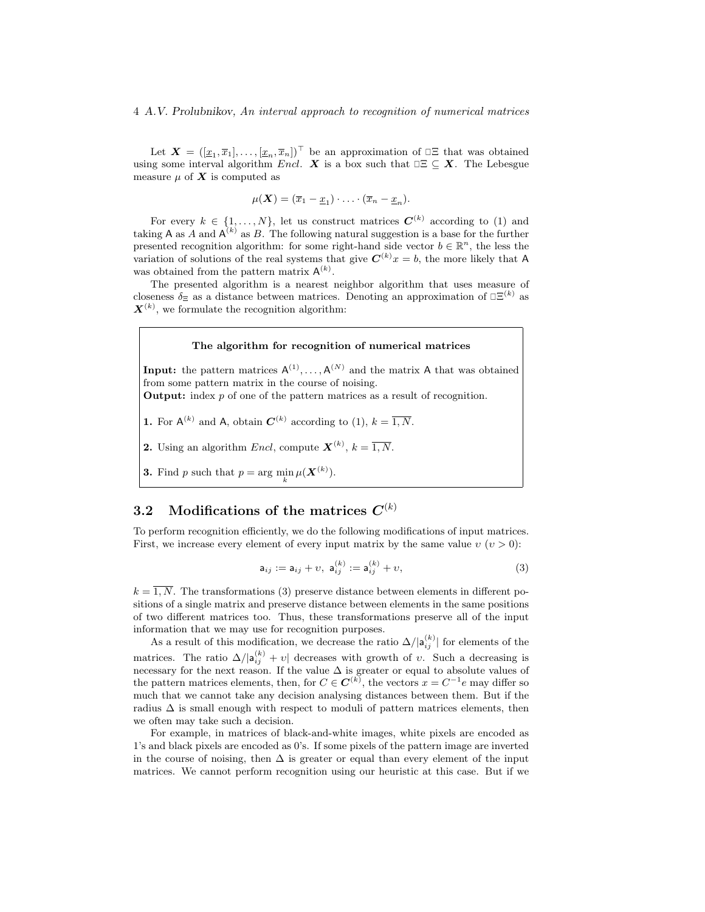### 4 A.V. Prolubnikov, An interval approach to recognition of numerical matrices

Let  $\boldsymbol{X} = ([\underline{x}_1, \overline{x}_1], \ldots, [\underline{x}_n, \overline{x}_n])^\top$  be an approximation of  $\square \Xi$  that was obtained using some interval algorithm Encl. X is a box such that  $\exists \subseteq X$ . The Lebesgue measure  $\mu$  of  $\boldsymbol{X}$  is computed as

$$
\mu(\mathbf{X})=(\overline{x}_1-\underline{x}_1)\cdot\ldots\cdot(\overline{x}_n-\underline{x}_n).
$$

For every  $k \in \{1, ..., N\}$ , let us construct matrices  $\mathbf{C}^{(k)}$  according to (1) and taking A as A and  $A^{(k)}$  as B. The following natural suggestion is a base for the further presented recognition algorithm: for some right-hand side vector  $b \in \mathbb{R}^n$ , the less the variation of solutions of the real systems that give  $C^{(k)}x = b$ , the more likely that A was obtained from the pattern matrix  $A^{(k)}$ .

The presented algorithm is a nearest neighbor algorithm that uses measure of closeness  $\delta_{\Xi}$  as a distance between matrices. Denoting an approximation of  $\Xi^{(k)}$  as  $\mathbf{X}^{(k)}$ , we formulate the recognition algorithm:

#### The algorithm for recognition of numerical matrices

**Input:** the pattern matrices  $A^{(1)}, \ldots, A^{(N)}$  and the matrix A that was obtained from some pattern matrix in the course of noising.

Output: index p of one of the pattern matrices as a result of recognition.

**1.** For  $A^{(k)}$  and A, obtain  $C^{(k)}$  according to (1),  $k = \overline{1, N}$ .

**2.** Using an algorithm *Encl*, compute  $\mathbf{X}^{(k)}$ ,  $k = \overline{1, N}$ .

**3.** Find p such that  $p = \arg \min_{k} \mu(\mathbf{X}^{(k)})$ .

# $3.2 \quad$  Modifications of the matrices  $C^{(k)}$

To perform recognition efficiently, we do the following modifications of input matrices. First, we increase every element of every input matrix by the same value  $v(v > 0)$ :

$$
\mathsf{a}_{ij} := \mathsf{a}_{ij} + v, \ \mathsf{a}_{ij}^{(k)} := \mathsf{a}_{ij}^{(k)} + v,\tag{3}
$$

 $k = \overline{1, N}$ . The transformations (3) preserve distance between elements in different positions of a single matrix and preserve distance between elements in the same positions of two different matrices too. Thus, these transformations preserve all of the input information that we may use for recognition purposes.

As a result of this modification, we decrease the ratio  $\Delta/|\mathsf{a}_{ij}^{(k)}|$  for elements of the matrices. The ratio  $\Delta/|\mathsf{a}_{ij}^{(k)}+v|$  decreases with growth of v. Such a decreasing is necessary for the next reason. If the value  $\Delta$  is greater or equal to absolute values of the pattern matrices elements, then, for  $C \in \mathbb{C}^{(k)}$ , the vectors  $x = C^{-1}e$  may differ so much that we cannot take any decision analysing distances between them. But if the radius  $\Delta$  is small enough with respect to moduli of pattern matrices elements, then we often may take such a decision.

For example, in matrices of black-and-white images, white pixels are encoded as 1's and black pixels are encoded as 0's. If some pixels of the pattern image are inverted in the course of noising, then  $\Delta$  is greater or equal than every element of the input matrices. We cannot perform recognition using our heuristic at this case. But if we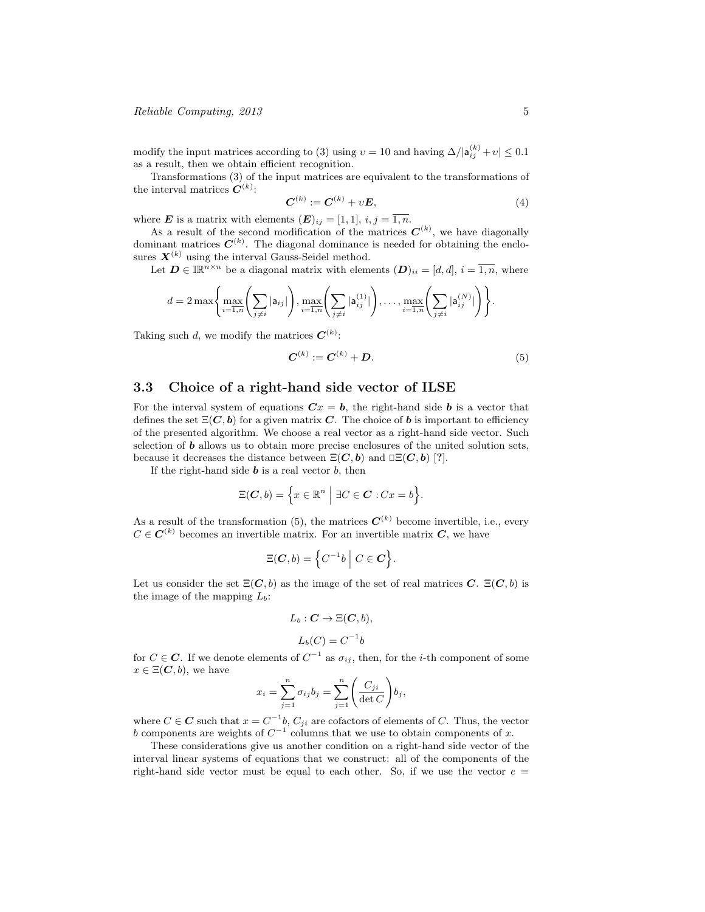modify the input matrices according to (3) using  $v = 10$  and having  $\Delta/|\mathsf{a}_{ij}^{(k)} + v| \leq 0.1$ as a result, then we obtain efficient recognition.

Transformations (3) of the input matrices are equivalent to the transformations of the interval matrices  $C^{(k)}$ :

$$
C^{(k)} := C^{(k)} + vE,
$$
\n(4)

where **E** is a matrix with elements  $(E)_{ij} = [1, 1], i, j = \overline{1, n}.$ 

As a result of the second modification of the matrices  $\mathbf{C}^{(k)}$ , we have diagonally dominant matrices  $C^{(k)}$ . The diagonal dominance is needed for obtaining the enclosures  $X^{(k)}$  using the interval Gauss-Seidel method.

Let  $\mathbf{D} \in \mathbb{IR}^{n \times n}$  be a diagonal matrix with elements  $(\mathbf{D})_{ii} = [d, d], i = \overline{1, n}$ , where

$$
d = 2 \max \left\{ \max_{i=\overline{1,n}} \left( \sum_{j \neq i} |a_{ij}| \right), \max_{i=\overline{1,n}} \left( \sum_{j \neq i} |a_{ij}^{(1)}| \right), \dots, \max_{i=\overline{1,n}} \left( \sum_{j \neq i} |a_{ij}^{(N)}| \right) \right\}.
$$

Taking such d, we modify the matrices  $\mathbf{C}^{(k)}$ :

$$
C^{(k)} := C^{(k)} + D.
$$
 (5)

## 3.3 Choice of a right-hand side vector of ILSE

For the interval system of equations  $\mathbf{C}x = \mathbf{b}$ , the right-hand side **b** is a vector that defines the set  $\Xi(C, b)$  for a given matrix C. The choice of b is important to efficiency of the presented algorithm. We choose a real vector as a right-hand side vector. Such selection of  **allows us to obtain more precise enclosures of the united solution sets,** because it decreases the distance between  $\Xi(C, b)$  and  $\square \Xi(C, b)$  [?].

If the right-hand side  $\boldsymbol{b}$  is a real vector  $\boldsymbol{b}$ , then

$$
\Xi(\boldsymbol{C},b) = \Big\{ x \in \mathbb{R}^n \ \Big| \ \exists C \in \boldsymbol{C} : Cx = b \Big\}.
$$

As a result of the transformation (5), the matrices  $C^{(k)}$  become invertible, i.e., every  $C \in \mathbb{C}^{(k)}$  becomes an invertible matrix. For an invertible matrix  $\mathbb{C}$ , we have

$$
\Xi(\boldsymbol{C},b) = \left\{ C^{-1}b \mid C \in \boldsymbol{C} \right\}.
$$

Let us consider the set  $\Xi(C, b)$  as the image of the set of real matrices C.  $\Xi(C, b)$  is the image of the mapping  $L_b$ :

$$
L_b: \mathbf{C} \to \Xi(\mathbf{C}, b),
$$

$$
L_b(C) = C^{-1}b
$$

for  $C \in \mathbb{C}$ . If we denote elements of  $C^{-1}$  as  $\sigma_{ij}$ , then, for the *i*-th component of some  $x \in \Xi(\mathbf{C}, b)$ , we have

$$
x_i = \sum_{j=1}^n \sigma_{ij} b_j = \sum_{j=1}^n \left( \frac{C_{ji}}{\det C} \right) b_j,
$$

where  $C \in \mathbb{C}$  such that  $x = C^{-1}b$ ,  $C_{ji}$  are cofactors of elements of C. Thus, the vector b components are weights of  $C^{-1}$  columns that we use to obtain components of x.

These considerations give us another condition on a right-hand side vector of the interval linear systems of equations that we construct: all of the components of the right-hand side vector must be equal to each other. So, if we use the vector  $e =$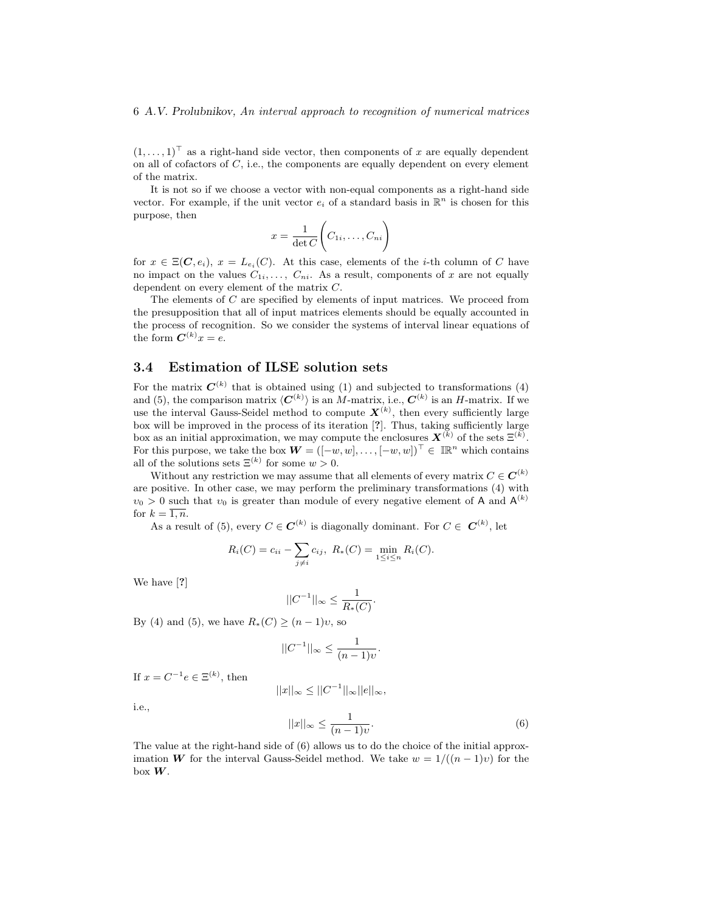$(1, \ldots, 1)$ <sup>T</sup> as a right-hand side vector, then components of x are equally dependent on all of cofactors of  $C$ , i.e., the components are equally dependent on every element of the matrix.

It is not so if we choose a vector with non-equal components as a right-hand side vector. For example, if the unit vector  $e_i$  of a standard basis in  $\mathbb{R}^n$  is chosen for this purpose, then

$$
x = \frac{1}{\det C} \left( C_{1i}, \dots, C_{ni} \right)
$$

for  $x \in \Xi(\mathbf{C}, e_i)$ ,  $x = L_{e_i}(C)$ . At this case, elements of the *i*-th column of C have no impact on the values  $C_{1i}, \ldots, C_{ni}$ . As a result, components of x are not equally dependent on every element of the matrix C.

The elements of C are specified by elements of input matrices. We proceed from the presupposition that all of input matrices elements should be equally accounted in the process of recognition. So we consider the systems of interval linear equations of the form  $\mathbf{C}^{(k)}x = e$ .

## 3.4 Estimation of ILSE solution sets

For the matrix  $C^{(k)}$  that is obtained using (1) and subjected to transformations (4) and (5), the comparison matrix  $\langle C^{(k)} \rangle$  is an M-matrix, i.e.,  $C^{(k)}$  is an H-matrix. If we use the interval Gauss-Seidel method to compute  $\mathbf{X}^{(k)}$ , then every sufficiently large box will be improved in the process of its iteration [?]. Thus, taking sufficiently large box as an initial approximation, we may compute the enclosures  $\mathbf{X}^{(k)}$  of the sets  $\mathbf{\Xi}^{(k)}$ . For this purpose, we take the box  $\boldsymbol{W} = ([-w, w], \dots, [-w, w])^{\top} \in \mathbb{IR}^n$  which contains all of the solutions sets  $\Xi^{(k)}$  for some  $w > 0$ .

Without any restriction we may assume that all elements of every matrix  $C \in \mathbb{C}^{(k)}$ are positive. In other case, we may perform the preliminary transformations (4) with  $v_0 > 0$  such that  $v_0$  is greater than module of every negative element of A and  $A^{(k)}$ for  $k = \overline{1, n}$ .

As a result of (5), every  $C \in \mathbf{C}^{(k)}$  is diagonally dominant. For  $C \in \mathbf{C}^{(k)}$ , let

$$
R_i(C) = c_{ii} - \sum_{j \neq i} c_{ij}, \ R_*(C) = \min_{1 \leq i \leq n} R_i(C).
$$

We have [?]

$$
||C^{-1}||_{\infty} \le \frac{1}{R_*(C)}.
$$

By (4) and (5), we have  $R_*(C) \ge (n-1)v$ , so

$$
||C^{-1}||_{\infty} \le \frac{1}{(n-1)v}.
$$

If  $x = C^{-1}e \in \Xi^{(k)}$ , then

$$
||x||_{\infty} \leq ||C^{-1}||_{\infty}||e||_{\infty},
$$

i.e.,

$$
||x||_{\infty} \le \frac{1}{(n-1)\nu}.\tag{6}
$$

The value at the right-hand side of (6) allows us to do the choice of the initial approximation W for the interval Gauss-Seidel method. We take  $w = 1/((n-1)v)$  for the box W.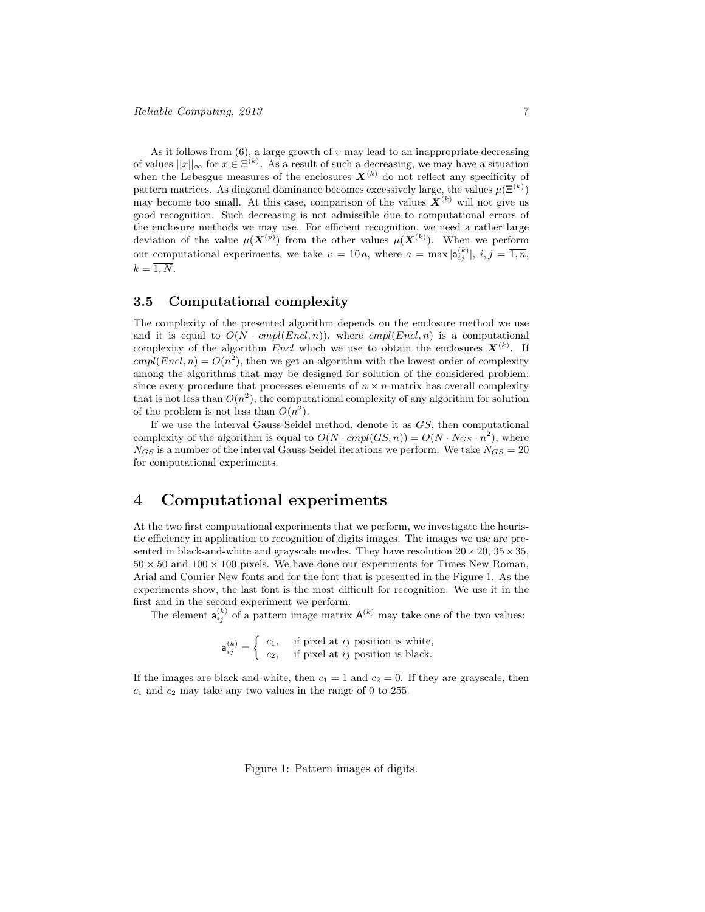As it follows from  $(6)$ , a large growth of  $v$  may lead to an inappropriate decreasing of values  $||x||_{\infty}$  for  $x \in \mathbb{E}^{(k)}$ . As a result of such a decreasing, we may have a situation when the Lebesgue measures of the enclosures  $\mathbf{X}^{(k)}$  do not reflect any specificity of pattern matrices. As diagonal dominance becomes excessively large, the values  $\mu(\mathbf{\Xi}^{(k)})$ may become too small. At this case, comparison of the values  $\mathbf{X}^{(k)}$  will not give us good recognition. Such decreasing is not admissible due to computational errors of the enclosure methods we may use. For efficient recognition, we need a rather large deviation of the value  $\mu(\bm{X}^{(p)})$  from the other values  $\mu(\bm{X}^{(k)})$ . When we perform our computational experiments, we take  $v = 10 a$ , where  $a = \max |a_{ij}^{(k)}|, i, j = \overline{1,n}$ ,  $k = \overline{1, N}.$ 

## 3.5 Computational complexity

The complexity of the presented algorithm depends on the enclosure method we use and it is equal to  $O(N \cdot cmpl(End, n))$ , where  $cmpl(End, n)$  is a computational complexity of the algorithm Encl which we use to obtain the enclosures  $\mathbf{X}^{(k)}$ . If  $cmpl(Encl, n) = O(n^2)$ , then we get an algorithm with the lowest order of complexity among the algorithms that may be designed for solution of the considered problem: since every procedure that processes elements of  $n \times n$ -matrix has overall complexity that is not less than  $O(n^2)$ , the computational complexity of any algorithm for solution of the problem is not less than  $O(n^2)$ .

If we use the interval Gauss-Seidel method, denote it as GS, then computational complexity of the algorithm is equal to  $O(N \cdot cmpl(GS, n)) = O(N \cdot N_{GS} \cdot n^2)$ , where  $N_{GS}$  is a number of the interval Gauss-Seidel iterations we perform. We take  $N_{GS} = 20$ for computational experiments.

# 4 Computational experiments

At the two first computational experiments that we perform, we investigate the heuristic efficiency in application to recognition of digits images. The images we use are presented in black-and-white and grayscale modes. They have resolution  $20 \times 20$ ,  $35 \times 35$ ,  $50 \times 50$  and  $100 \times 100$  pixels. We have done our experiments for Times New Roman, Arial and Courier New fonts and for the font that is presented in the Figure 1. As the experiments show, the last font is the most difficult for recognition. We use it in the first and in the second experiment we perform.

The element  $a_{ij}^{(k)}$  of a pattern image matrix  $A^{(k)}$  may take one of the two values:

$$
\mathbf{a}_{ij}^{(k)} = \begin{cases} c_1, & \text{if pixel at } ij \text{ position is white,} \\ c_2, & \text{if pixel at } ij \text{ position is black.} \end{cases}
$$

If the images are black-and-white, then  $c_1 = 1$  and  $c_2 = 0$ . If they are grayscale, then  $c_1$  and  $c_2$  may take any two values in the range of 0 to 255.

Figure 1: Pattern images of digits.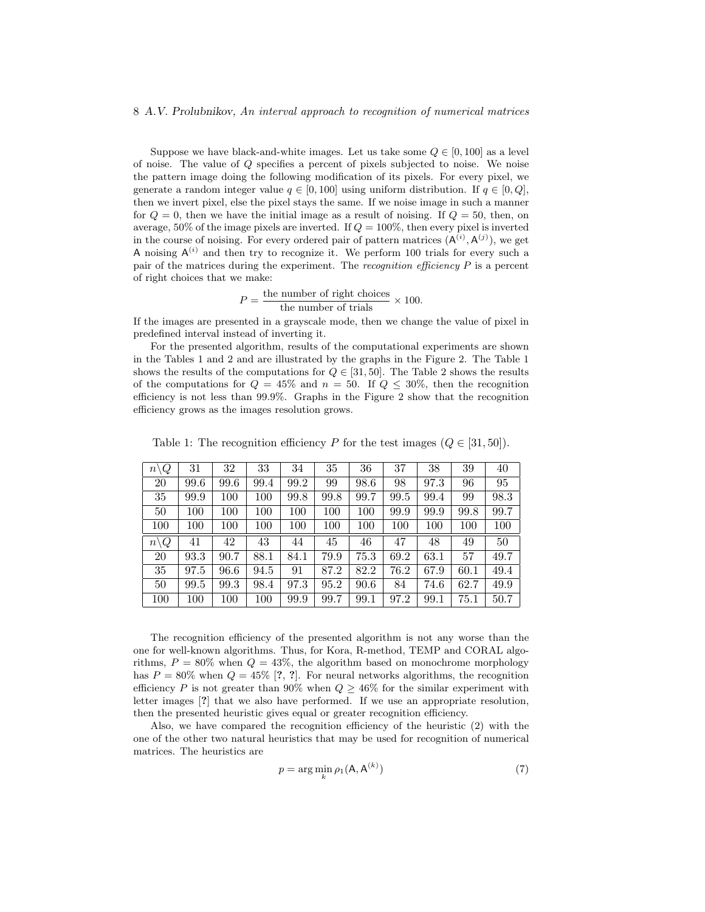#### 8 A.V. Prolubnikov, An interval approach to recognition of numerical matrices

Suppose we have black-and-white images. Let us take some  $Q \in [0, 100]$  as a level of noise. The value of Q specifies a percent of pixels subjected to noise. We noise the pattern image doing the following modification of its pixels. For every pixel, we generate a random integer value  $q \in [0, 100]$  using uniform distribution. If  $q \in [0, Q]$ , then we invert pixel, else the pixel stays the same. If we noise image in such a manner for  $Q = 0$ , then we have the initial image as a result of noising. If  $Q = 50$ , then, on average,  $50\%$  of the image pixels are inverted. If  $Q = 100\%$ , then every pixel is inverted in the course of noising. For every ordered pair of pattern matrices  $(A^{(i)}, A^{(j)})$ , we get A noising  $A^{(i)}$  and then try to recognize it. We perform 100 trials for every such a pair of the matrices during the experiment. The recognition efficiency  $P$  is a percent of right choices that we make:

$$
P = \frac{\text{the number of right choices}}{\text{the number of trials}} \times 100.
$$

If the images are presented in a grayscale mode, then we change the value of pixel in predefined interval instead of inverting it.

For the presented algorithm, results of the computational experiments are shown in the Tables 1 and 2 and are illustrated by the graphs in the Figure 2. The Table 1 shows the results of the computations for  $Q \in [31, 50]$ . The Table 2 shows the results of the computations for  $Q = 45\%$  and  $n = 50$ . If  $Q \leq 30\%$ , then the recognition efficiency is not less than 99.9%. Graphs in the Figure 2 show that the recognition efficiency grows as the images resolution grows.

| $n\backslash Q$                | 31      | 32      | 33   | 34   | 35   | 36   | 37   | 38   | 39   | 40   |
|--------------------------------|---------|---------|------|------|------|------|------|------|------|------|
| 20                             | 99.6    | 99.6    | 99.4 | 99.2 | 99   | 98.6 | 98   | 97.3 | 96   | 95   |
| 35                             | 99.9    | 100     | 100  | 99.8 | 99.8 | 99.7 | 99.5 | 99.4 | 99   | 98.3 |
| 50                             | 100     | 100     | 100  | 100  | 100  | 100  | 99.9 | 99.9 | 99.8 | 99.7 |
| 100                            | $100\,$ | 100     | 100  | 100  | 100  | 100  | 100  | 100  | 100  | 100  |
| $\overline{Q}$<br>$n\setminus$ | 41      | 42      | 43   | 44   | 45   | 46   | 47   | 48   | 49   | 50   |
| <b>20</b>                      | 93.3    | 90.7    | 88.1 | 84.1 | 79.9 | 75.3 | 69.2 | 63.1 | 57   | 49.7 |
| 35                             | 97.5    | 96.6    | 94.5 | 91   | 87.2 | 82.2 | 76.2 | 67.9 | 60.1 | 49.4 |
| 50                             | 99.5    | 99.3    | 98.4 | 97.3 | 95.2 | 90.6 | 84   | 74.6 | 62.7 | 49.9 |
| 100                            | $100\,$ | $100\,$ | 100  | 99.9 | 99.7 | 99.1 | 97.2 | 99.1 | 75.1 | 50.7 |

Table 1: The recognition efficiency P for the test images  $(Q \in [31, 50])$ .

The recognition efficiency of the presented algorithm is not any worse than the one for well-known algorithms. Thus, for Kora, R-method, TEMP and CORAL algorithms,  $P = 80\%$  when  $Q = 43\%$ , the algorithm based on monochrome morphology has  $P = 80\%$  when  $Q = 45\%$  [?, ?]. For neural networks algorithms, the recognition efficiency P is not greater than 90% when  $Q \geq 46\%$  for the similar experiment with letter images [?] that we also have performed. If we use an appropriate resolution, then the presented heuristic gives equal or greater recognition efficiency.

Also, we have compared the recognition efficiency of the heuristic (2) with the one of the other two natural heuristics that may be used for recognition of numerical matrices. The heuristics are

$$
p = \arg\min_{k} \rho_1(\mathbf{A}, \mathbf{A}^{(k)})
$$
\n(7)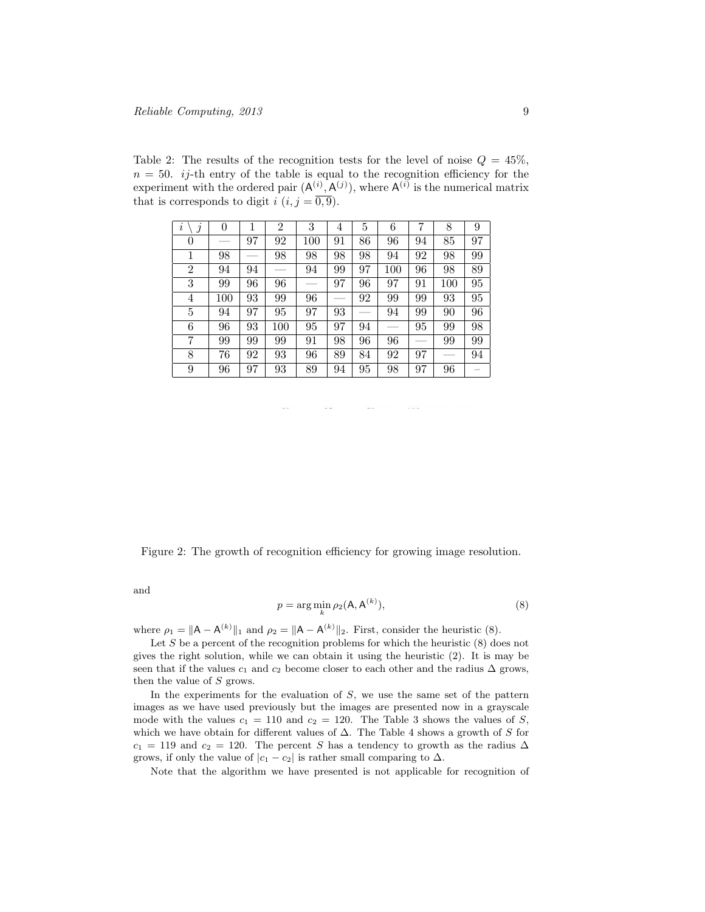Table 2: The results of the recognition tests for the level of noise  $Q = 45\%$ ,  $n = 50$ . *ij*-th entry of the table is equal to the recognition efficiency for the experiment with the ordered pair  $(A^{(i)}, A^{(j)})$ , where  $A^{(i)}$  is the numerical matrix that is corresponds to digit i  $(i, j = \overline{0, 9})$ .

| i<br>$\Delta$  | 0   |    | 2   | 3   | 4  | 5  | 6   | 7  | 8   | 9  |
|----------------|-----|----|-----|-----|----|----|-----|----|-----|----|
| $\theta$       |     | 97 | 92  | 100 | 91 | 86 | 96  | 94 | 85  | 97 |
| 1              | 98  |    | 98  | 98  | 98 | 98 | 94  | 92 | 98  | 99 |
| $\overline{2}$ | 94  | 94 |     | 94  | 99 | 97 | 100 | 96 | 98  | 89 |
| 3              | 99  | 96 | 96  |     | 97 | 96 | 97  | 91 | 100 | 95 |
| 4              | 100 | 93 | 99  | 96  |    | 92 | 99  | 99 | 93  | 95 |
| 5              | 94  | 97 | 95  | 97  | 93 |    | 94  | 99 | 90  | 96 |
| 6              | 96  | 93 | 100 | 95  | 97 | 94 | --  | 95 | 99  | 98 |
| 7              | 99  | 99 | 99  | 91  | 98 | 96 | 96  |    | 99  | 99 |
| 8              | 76  | 92 | 93  | 96  | 89 | 84 | 92  | 97 |     | 94 |
| 9              | 96  | 97 | 93  | 89  | 94 | 95 | 98  | 97 | 96  |    |

Figure 2: The growth of recognition efficiency for growing image resolution.

and

$$
p = \arg\min_{k} \rho_2(\mathsf{A}, \mathsf{A}^{(k)}),\tag{8}
$$

where  $\rho_1 = ||A - A^{(k)}||_1$  and  $\rho_2 = ||A - A^{(k)}||_2$ . First, consider the heuristic (8).

Let  $S$  be a percent of the recognition problems for which the heuristic  $(8)$  does not gives the right solution, while we can obtain it using the heuristic (2). It is may be seen that if the values  $c_1$  and  $c_2$  become closer to each other and the radius  $\Delta$  grows, then the value of S grows.

In the experiments for the evaluation of  $S$ , we use the same set of the pattern images as we have used previously but the images are presented now in a grayscale mode with the values  $c_1 = 110$  and  $c_2 = 120$ . The Table 3 shows the values of S, which we have obtain for different values of  $\Delta$ . The Table 4 shows a growth of S for  $c_1 = 119$  and  $c_2 = 120$ . The percent S has a tendency to growth as the radius  $\Delta$ grows, if only the value of  $|c_1 - c_2|$  is rather small comparing to  $\Delta$ .

Note that the algorithm we have presented is not applicable for recognition of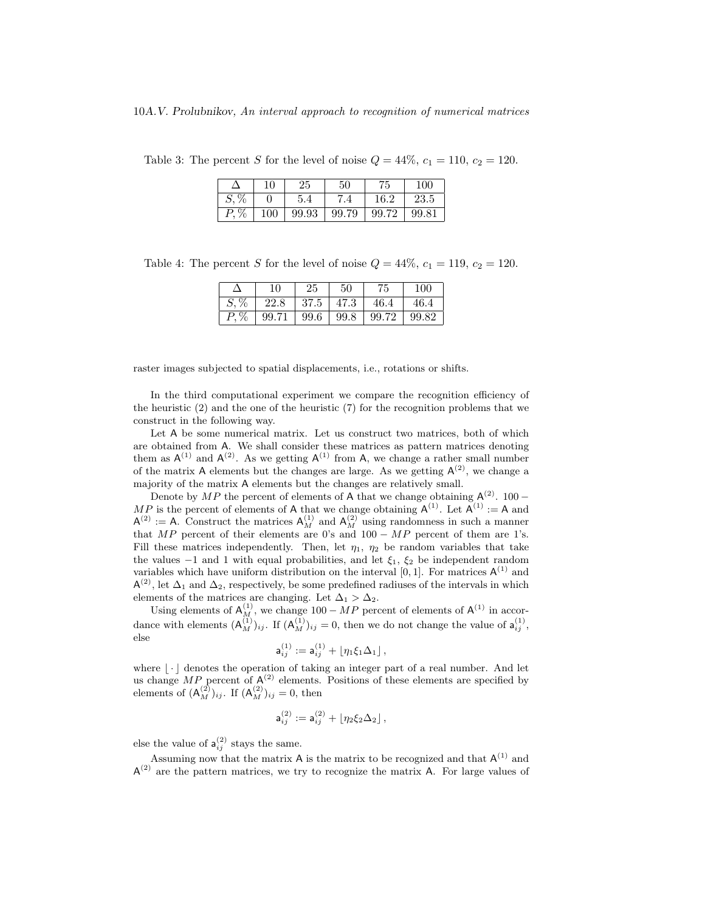|         | 10  | 25    | 50    | 75    | 100   |
|---------|-----|-------|-------|-------|-------|
| $S, \%$ |     | 5.4   | 7.4   | 16.2  | 23.5  |
| $P, \%$ | 100 | 99.93 | 99.79 | 99.72 | 99.81 |

Table 3: The percent S for the level of noise  $Q = 44\%$ ,  $c_1 = 110$ ,  $c_2 = 120$ .

Table 4: The percent S for the level of noise  $Q = 44\%, c_1 = 119, c_2 = 120$ .

|                            | 10                                            | -25 | $50^{\circ}$ | 75             | 100   |
|----------------------------|-----------------------------------------------|-----|--------------|----------------|-------|
| $S,\overline{\mathscr{G}}$ | 22.8                                          |     |              | 37.5 47.3 46.4 | 146.4 |
|                            | $P, \%$   99.71   99.6   99.8   99.72   99.82 |     |              |                |       |

raster images subjected to spatial displacements, i.e., rotations or shifts.

In the third computational experiment we compare the recognition efficiency of the heuristic (2) and the one of the heuristic (7) for the recognition problems that we construct in the following way.

Let A be some numerical matrix. Let us construct two matrices, both of which are obtained from A. We shall consider these matrices as pattern matrices denoting them as  $A^{(1)}$  and  $A^{(2)}$ . As we getting  $A^{(1)}$  from A, we change a rather small number of the matrix A elements but the changes are large. As we getting  $A^{(2)}$ , we change a majority of the matrix A elements but the changes are relatively small.

Denote by  $MP$  the percent of elements of A that we change obtaining  $\mathsf{A}^{(2)}$ . 100 − MP is the percent of elements of A that we change obtaining  $A^{(1)}$ . Let  $A^{(1)} := A$  and  $A^{(2)} := A$ . Construct the matrices  $A_M^{(1)}$  and  $A_M^{(2)}$  using randomness in such a manner that  $MP$  percent of their elements are 0's and 100 –  $MP$  percent of them are 1's. Fill these matrices independently. Then, let  $\eta_1$ ,  $\eta_2$  be random variables that take the values  $-1$  and 1 with equal probabilities, and let  $\xi_1$ ,  $\xi_2$  be independent random variables which have uniform distribution on the interval  $[0, 1]$ . For matrices  $\mathsf{A}^{(1)}$  and  $\mathsf{A}^{(2)}$ , let  $\Delta_1$  and  $\Delta_2$ , respectively, be some predefined radiuses of the intervals in which elements of the matrices are changing. Let  $\Delta_1 > \Delta_2$ .

Using elements of  $A_M^{(1)}$ , we change 100 – MP percent of elements of  $A^{(1)}$  in accordance with elements  $(\mathsf{A}_{M}^{(1)})_{ij}$ . If  $(\mathsf{A}_{M}^{(1)})_{ij} = 0$ , then we do not change the value of  $\mathsf{a}_{ij}^{(1)}$ , else

$$
\mathsf{a}_{ij}^{(1)}:=\mathsf{a}_{ij}^{(1)}+\lfloor \eta_1 \xi_1 \Delta_1 \rfloor\,,
$$

where  $\lvert \cdot \rvert$  denotes the operation of taking an integer part of a real number. And let us change  $MP$  percent of  $A^{(2)}$  elements. Positions of these elements are specified by elements of  $(\mathsf{A}^{(2)}_M)_{ij}$ . If  $(\mathsf{A}^{(2)}_M)_{ij} = 0$ , then

$$
\mathsf{a}_{ij}^{(2)}:=\mathsf{a}_{ij}^{(2)}+\lfloor \eta_2 \xi_2 \Delta_2 \rfloor\,,
$$

else the value of  $a_{ij}^{(2)}$  stays the same.

Assuming now that the matrix A is the matrix to be recognized and that  $A^{(1)}$  and  $A^{(2)}$  are the pattern matrices, we try to recognize the matrix A. For large values of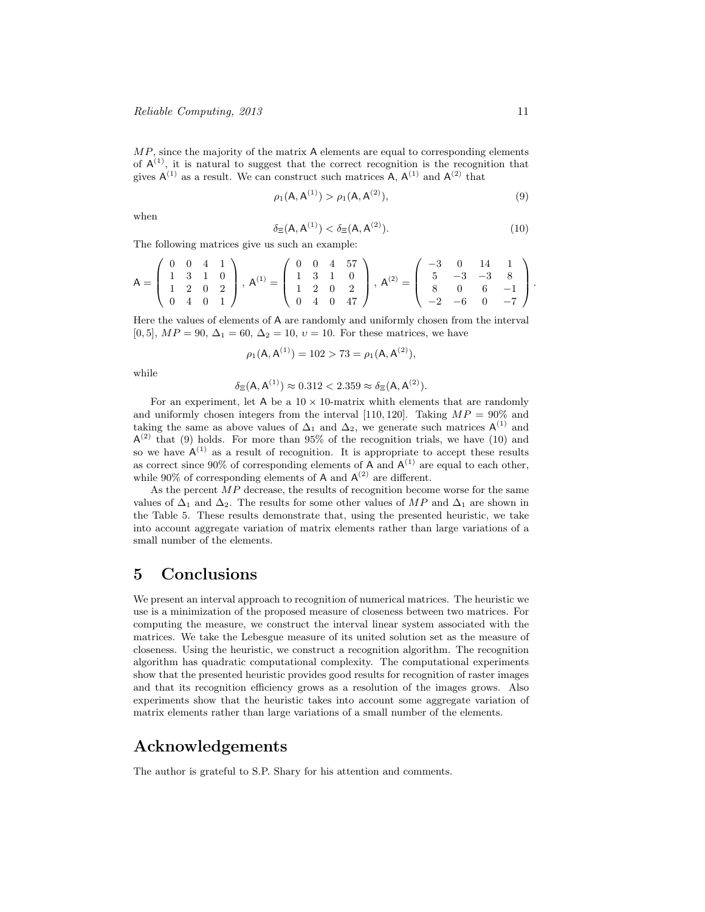$MP$ , since the majority of the matrix A elements are equal to corresponding elements of  $A^{(1)}$ , it is natural to suggest that the correct recognition is the recognition that gives  $A^{(1)}$  as a result. We can construct such matrices A,  $A^{(1)}$  and  $A^{(2)}$  that

$$
\rho_1(A, A^{(1)}) > \rho_1(A, A^{(2)}), \tag{9}
$$

when

$$
\delta_{\Xi}(\mathsf{A}, \mathsf{A}^{(1)}) < \delta_{\Xi}(\mathsf{A}, \mathsf{A}^{(2)}). \tag{10}
$$

The following matrices give us such an example:

$$
A = \begin{pmatrix} 0 & 0 & 4 & 1 \\ 1 & 3 & 1 & 0 \\ 1 & 2 & 0 & 2 \\ 0 & 4 & 0 & 1 \end{pmatrix}, A^{(1)} = \begin{pmatrix} 0 & 0 & 4 & 57 \\ 1 & 3 & 1 & 0 \\ 1 & 2 & 0 & 2 \\ 0 & 4 & 0 & 47 \end{pmatrix}, A^{(2)} = \begin{pmatrix} -3 & 0 & 14 & 1 \\ 5 & -3 & -3 & 8 \\ 8 & 0 & 6 & -1 \\ -2 & -6 & 0 & -7 \end{pmatrix}.
$$

Here the values of elements of A are randomly and uniformly chosen from the interval [0, 5],  $MP = 90$ ,  $\Delta_1 = 60$ ,  $\Delta_2 = 10$ ,  $v = 10$ . For these matrices, we have

$$
\rho_1(\mathsf{A}, \mathsf{A}^{(1)}) = 102 > 73 = \rho_1(\mathsf{A}, \mathsf{A}^{(2)}),
$$

while

$$
\delta_{\Xi}(\mathsf{A}, \mathsf{A}^{(1)}) \approx 0.312 < 2.359 \approx \delta_{\Xi}(\mathsf{A}, \mathsf{A}^{(2)}).
$$

For an experiment, let A be a  $10 \times 10$ -matrix whith elements that are randomly and uniformly chosen integers from the interval [110, 120]. Taking  $MP = 90\%$  and taking the same as above values of  $\Delta_1$  and  $\Delta_2$ , we generate such matrices  $\mathsf{A}^{(1)}$  and  $A^{(2)}$  that (9) holds. For more than 95% of the recognition trials, we have (10) and so we have  $A^{(1)}$  as a result of recognition. It is appropriate to accept these results as correct since 90% of corresponding elements of A and  $A^{(1)}$  are equal to each other, while 90% of corresponding elements of A and  $A^{(2)}$  are different.

As the percent  $MP$  decrease, the results of recognition become worse for the same values of  $\Delta_1$  and  $\Delta_2$ . The results for some other values of MP and  $\Delta_1$  are shown in the Table 5. These results demonstrate that, using the presented heuristic, we take into account aggregate variation of matrix elements rather than large variations of a small number of the elements.

# 5 Conclusions

We present an interval approach to recognition of numerical matrices. The heuristic we use is a minimization of the proposed measure of closeness between two matrices. For computing the measure, we construct the interval linear system associated with the matrices. We take the Lebesgue measure of its united solution set as the measure of closeness. Using the heuristic, we construct a recognition algorithm. The recognition algorithm has quadratic computational complexity. The computational experiments show that the presented heuristic provides good results for recognition of raster images and that its recognition efficiency grows as a resolution of the images grows. Also experiments show that the heuristic takes into account some aggregate variation of matrix elements rather than large variations of a small number of the elements.

## Acknowledgements

The author is grateful to S.P. Shary for his attention and comments.